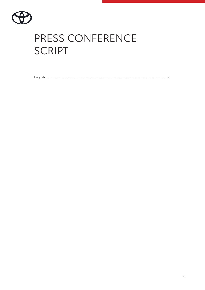

# PRESS CONFERENCE **SCRIPT**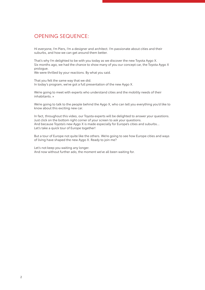#### OPENING SEQUENCE:

Hi everyone, I'm Piers, I'm a designer and architect. I'm passionate about cities and their suburbs, and how we can get around them better.

That's why I'm delighted to be with you today as we discover the new Toyota Aygo X. Six months ago, we had the chance to show many of you our concept car, the Toyota Aygo X prologue.

We were thrilled by your reactions. By what you said.

That you felt the same way that we did. In today's program, we've got a full presentation of the new Aygo X.

We're going to meet with experts who understand cities and the mobility needs of their inhabitants. »

We're going to talk to the people behind the Aygo X, who can tell you everything you'd like to know about this exciting new car.

In fact, throughout this video, our Toyota experts will be delighted to answer your questions. Just click on the bottom right corner of your screen to ask your questions. And because Toyota's new Aygo X is made especially for Europe's cities and suburbs… Let's take a quick tour of Europe together!

But a tour of Europe not quite like the others. We're going to see how Europe cities and ways of living have shaped the new Aygo X. Ready to join me?

Let's not keep you waiting any longer. And now without further ado, the moment we've all been waiting for.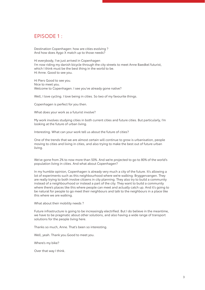### EPISODE 1 :

Destination Copenhagen: how are cities evolving ? And how does Aygo X match up to those needs?

Hi everybody, I've just arrived in Copenhagen I'm now riding my danish bicycle through the city streets to meet Anne Baedkel futurist, which I think must be the best thing in the world to be. Hi Anne. Good to see you.

Hi Piers Good to see you. Nice to meet you. Welcome to Copenhagen. I see you've already gone native?

Well, I love cycling. I love being in cities. So two of my favourite things.

Copenhagen is perfect for you then.

What does your work as a futurist involve?

My work involves studying cities in both current cities and future cities. But particularly, I'm looking at the future of urban living.

Interesting. What can your work tell us about the future of cities?

One of the trends that we are almost certain will continue to grow is urbanisation, people moving to cities and living in cities, and also trying to make the best out of future urban living.

We've gone from 2% to now more than 50%. And we're projected to go to 80% of the world's population living in cities. And what about Copenhagen?

In my humble opinion, Copenhagen is already very much a city of the future. It's allowing a lot of experiments such as this neighbourhood where we're walking: Bryggervangen. They are really trying to both involve citizens in city planning. They also try to build a community instead of a neighbourhood or instead a part of the city. They want to build a community where there's places like this where people can meet and actually catch up. And it's going to be natural for people to go meet their neighbours and talk to the neighbours in a place like this where we are walking.

What about their mobility needs ?

Future infrastructure is going to be increasingly electrified. But I do believe in the meantime, we have to be pragmatic about other solutions, and also having a wide range of transport solutions for the people living here.

Thanks so much, Anne. That's been so interesting.

Well, yeah. Thank you.Good to meet you.

Where's my bike?

Over that way I think.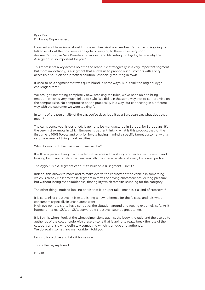Bye - Bye I'm loving Copenhagen.

I learned a lot from Anne about European cities. And now Andrea Carlucci who is going to talk to us about the bold new car Toyota is bringing to these cities very soon. Andrea Carlucci, as Vice President of Product and Marketing for Toyota, tell me why the A-segment is so important for you?

This represents a key access point to the brand. So strategically, is a very important segment. But more importantly, is a segment that allows us to provide our customers with a very accessible solution and practical solution , especially for living in town.

It used to be a segment that was quite bland in some ways. But I think the original Aygo challenged that?

We brought something completely new, breaking the rules, we've been able to bring emotion, which is very much linked to style. We did it in the same way, not to compromise on the compact size. No compromise on the practicality in a way. But connecting in a different way with the customer we were looking for,

In terms of the personality of the car, you've described it as a European car, what does that mean?

The car is conceived, is designed, is going to be manufactured in Europe, for Europeans. It's the very first example in which Europeans gather thinking what is this product that for the first time is 100% Toyota and only for Toyota having in mind a specific target customer with a very clear need of living in urban cities.

Who do you think the main customers will be?

It will be a person living in a crowded urban area with a strong connection with design and looking for characteristics that are basically the characteristics of a very European profile.

The Aygo X is a A-segment car but It's built on a B-segment isn't it?

Indeed, this allows to move and to make evolve the character of the vehicle in something which is clearly closer to the B-segment in terms of driving characteristics, driving pleasure, but without losing that nimbleness, that agility which remains stunning for the category.

The other thing I noticed looking at it is that it is super tall. I mean is it a kind of crossover?

It is certainly a crossover. It is establishing a new reference for the A-class and it is what consumers especially in urban areas want.

High eye point to sit, to have control of the situation around and feeling extremely safe. As it happens in a real SUV, an SUV, convertible crossover, sounds great to me.

It is I think, when I look at the wheel dimensions against the body, the ratio and the use quite authentic of the colour code with these bi-tone that is going to really break the rule of the category and is giving definitely something which is unique and authentic. We do again, something memorable. I told you

Let's go for a drive and take it home now.

This is the key my friend.

I'm off!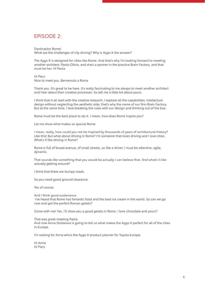## EPISODE 2:

Destination Rome! What are the challenges of city driving? Why is Aygo X the answer?

The Aygo X is designed for cities like Rome. And that's why I'm looking forward to meeting another architect: Paolo Olivia, and she's a partner in the practice Brain Factory, and that must be her. Hi Paola

Hi Piers Nice to meet you. Benvenuto a Roma

Thank you. It's great to be here. It's really fascinating to me always to meet another architect and hear about their creative processes. So tell me a little bit about yours.

I think that it all start with the creative research, I explore all the capabilities; intellectual design without neglecting the aesthetic side; that's why the name of our firm Brain Factory. But at the same time, I love breaking the rules with our design and thinking out of the box.

Rome must be the best place to do it. I mean, how does Rome inspire you?

Let me show what makes so special Rome.

I mean, really, how could you not be inspired by thousands of years of architectural history? Like this! But what about driving in Rome? I'm someone that loves driving and I love cities. What's it like driving in Rome?

Rome is full of broad avenue, of small streets, so like a driver; I must be attentive, agile, dynamic.

That sounds like something that you would be actually I can believe that. And what's it like actually getting around?

I think that there are bumpy roads.

So you need good ground clearance.

Yes of course.

And I think good sustenance. I've heard that Rome has fantastic food and the best ice cream in the world. So can we go now and get the perfect Roman gelato?

Come with me! Yes, I'll show you a good gelato in Rome. I love chocolate and yours?

That was great meeting Paola.

And now Anna Stoliarova is going to tell us what makes the Aygo X perfect for all of the cities in Europe.

I'm waiting for Anna who's the Aygo X product planner for Toyota Europe.

Hi Anna Hi Piers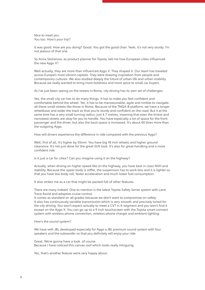Nice to meet you. You too. How's your trip?

It was good. How are you doing? Good. You got the good chair. Yeah, it's not very sturdy. I'm not jealous of that one.

So Anna Stoliarova, as product planner for Toyota, tell me how European cities influenced the new Aygo X?

Well actually, they are more than influenced Aygo X. They shaped it. Our team has traveled across Europe's most vibrant capitals. They were drawing inspiration from people and contemporary cultures. We also studied deeply the future of urban life and urban mobility. Because we really wanted to bring more boldness and more spice to small car buyers.

As I've just been seeing on the streets in Rome, city driving has its own set of challenges.

Yes, the small city car has to do many things. It has to make you feel confident and comfortable behind the wheel. Yet, it has to be manoeuvrable, agile and nimble to navigate all these small streets like those in Rome. Because of the TNGA-B platform, we have a longer wheelbase and wider the track so that you're sturdy and confident on the road. But it at the same time has a very small turning radius, just 4.7 metres, meaning that even the tiniest and narrowest streets are okay for you to handle. You have especially a lot of space for the front passenger and the driver, but also the boot space is increased. It's about 60 litres more than the outgoing Aygo.

How will drivers experience the difference in ride compared with the previous Aygo?

Well, first of all, it's higher by 55mm. You have big 18 inch wheels and higher ground clearance. It's not just done for the great SUV look. It's also for great handling and a more confident ride.

Is it just a car for cities? Can you imagine using it on the highway?

Actually, when driving on higher speed like on the highway, you have best in class NVH and stability. Because the upper body is stiffer, the suspension has to work less and it is lighter so that you have low body roll, faster acceleration and much lower fuel consumption.

It also strikes me as a car that might be packed full of other features.

There are many indeed. One to mention is the latest Toyota Safety Sense system with Lane Trace Assist and adaptive cruise control.

It comes as standard on all grades because we don't want to compromise on safety. It also has continuously variable transmission which is very smooth and precisely tuned for the city driving. You won't expect actually to meet a CVT in A-segment and you won't find it except on the Aygo X. You can go up to a 9 inch touchscreen with the Toyota smart connect system with wireless phone connection, wireless phone charger and ambient lighting.

How's the sound system?

We have with JBL developed especially for Aygo a JBL premium sound system with four speakers and the subwoofer so that you definitely will enjoy your ride.

Great. We're gonna have a look. of course Because I have noticed this canvas roof which looks really intriguing.

Yes, that's another feature we're very happy about.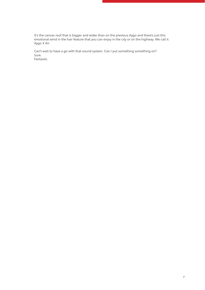It's the canvas roof that is bigger and wider than on the previous Aygo and there's just this emotional wind in the hair feature that you can enjoy in the city or on the highway. We call it Aygo X Air.

Can't wait to have a go with that sound system. Can I put something something on? Sure. Fantastic.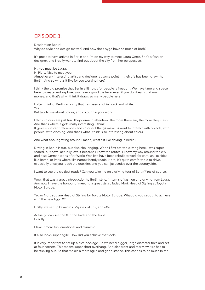#### EPISODE 3:

Destination Berlin! Why do style and design matter? And how does Aygo have so much of both?

It's great to have arrived in Berlin and I'm on my way to meet Laura Gerte. She's a fashion designer, and I really want to find out about the city from her perspective.

Hi, you must be Laura.

Hi Piers. Nice to meet you.

Almost every interesting artist and designer at some point in their life has been drawn to Berlin. And so what's it like for you working here?

I think the big promise that Berlin still holds for people is freedom. We have time and space here to create and explore, you have a good life here, even if you don't earn that much money, and that's why I think it draws so many people here.

I often think of Berlin as a city that has been shot in black and white. Yes. But talk to me about colour, and colour r in your work.

I think colours are just fun. They demand attention. The more there are, the more they clash. And that's where it gets really interesting, I think.

It gives us instant references and colourful things make us want to interact with objects, with people, with clothing. And that's what I think is so interesting about colour.

And what about getting around I mean, what's it like driving in Berlin?

Driving in Berlin is fun, but also challenging. When I first started driving here, I was super scared, but now I actually love it because I know the routes. I know my way around the city and also German cities after World War Two have been rebuilt to work for cars, unlike cities like Rome, or Paris where like narrow bendy roads. Here, it's quite comfortable to drive, especially once you reach the outskirts and you can just cruise over the countryside.

I want to see the craziest roads? Can you take me on a driving tour of Berlin? Yes of course.

Wow, that was a great introduction to Berlin style, in terms of fashion and driving from Laura. And now I have the honour of meeting a great stylist Tadao Mori, Head of Styling at Toyota Motor Europe.

Tadao Mori, you are Head of Styling for Toyota Motor Europe. What did you set out to achieve with the new Aygo X?

Firstly, we set up keywords: «Spice», «Fun», and «X».

Actually I can see the X in the back and the front. Exactly.

Make it more fun, emotional and dynamic.

It also looks super agile. How did you achieve that look?

It is very important to set up a nice package. So we need bigger, large diameter tires and set at four corners. This means super short overhang. And also front and rear view, tire has to be sticking out. So that makes a more agile and good stance. This car has to be much in the